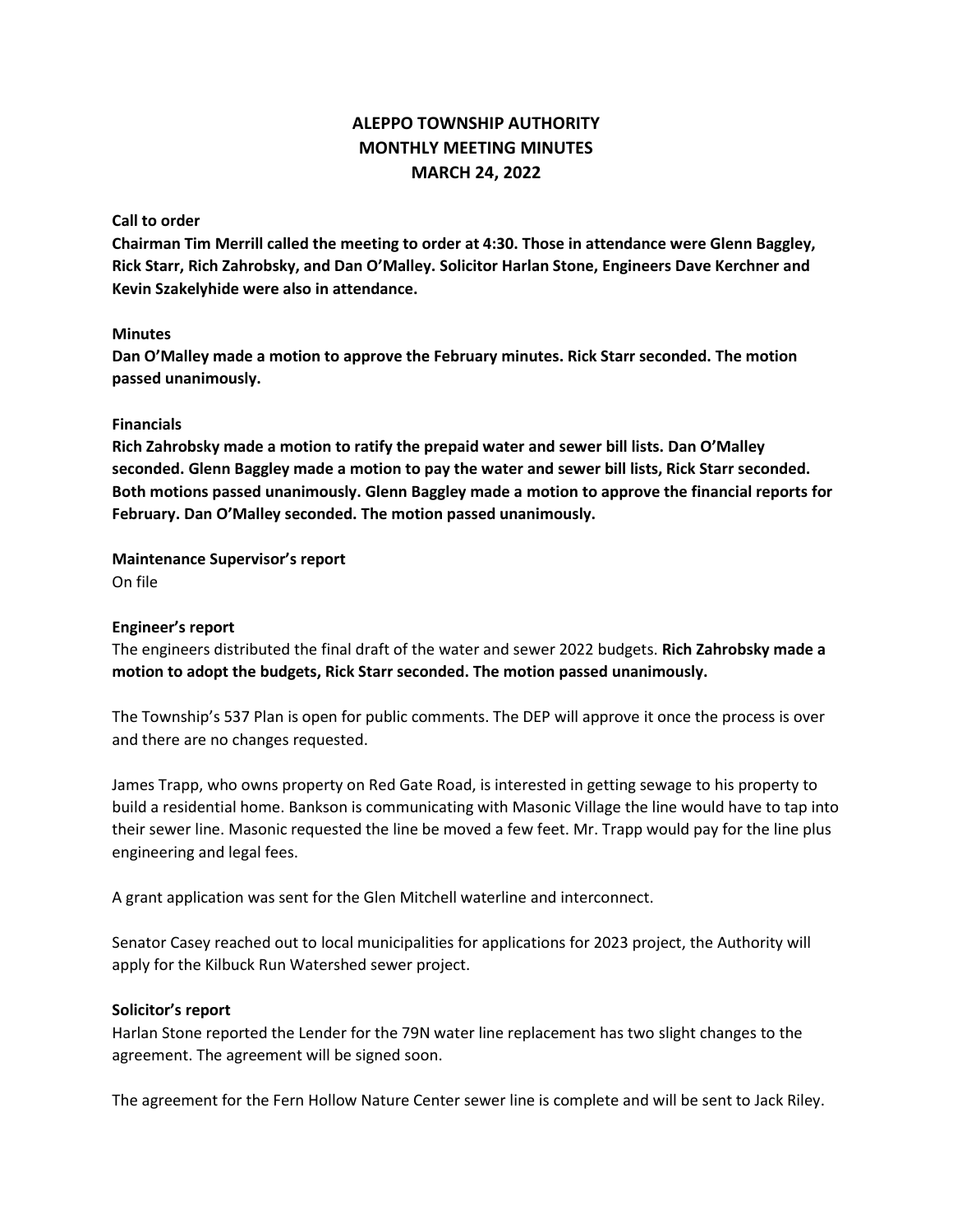# **ALEPPO TOWNSHIP AUTHORITY MONTHLY MEETING MINUTES MARCH 24, 2022**

### **Call to order**

**Chairman Tim Merrill called the meeting to order at 4:30. Those in attendance were Glenn Baggley, Rick Starr, Rich Zahrobsky, and Dan O'Malley. Solicitor Harlan Stone, Engineers Dave Kerchner and Kevin Szakelyhide were also in attendance.**

#### **Minutes**

**Dan O'Malley made a motion to approve the February minutes. Rick Starr seconded. The motion passed unanimously.**

#### **Financials**

**Rich Zahrobsky made a motion to ratify the prepaid water and sewer bill lists. Dan O'Malley seconded. Glenn Baggley made a motion to pay the water and sewer bill lists, Rick Starr seconded. Both motions passed unanimously. Glenn Baggley made a motion to approve the financial reports for February. Dan O'Malley seconded. The motion passed unanimously.**

**Maintenance Supervisor's report** On file

## **Engineer's report**

The engineers distributed the final draft of the water and sewer 2022 budgets. **Rich Zahrobsky made a motion to adopt the budgets, Rick Starr seconded. The motion passed unanimously.**

The Township's 537 Plan is open for public comments. The DEP will approve it once the process is over and there are no changes requested.

James Trapp, who owns property on Red Gate Road, is interested in getting sewage to his property to build a residential home. Bankson is communicating with Masonic Village the line would have to tap into their sewer line. Masonic requested the line be moved a few feet. Mr. Trapp would pay for the line plus engineering and legal fees.

A grant application was sent for the Glen Mitchell waterline and interconnect.

Senator Casey reached out to local municipalities for applications for 2023 project, the Authority will apply for the Kilbuck Run Watershed sewer project.

#### **Solicitor's report**

Harlan Stone reported the Lender for the 79N water line replacement has two slight changes to the agreement. The agreement will be signed soon.

The agreement for the Fern Hollow Nature Center sewer line is complete and will be sent to Jack Riley.